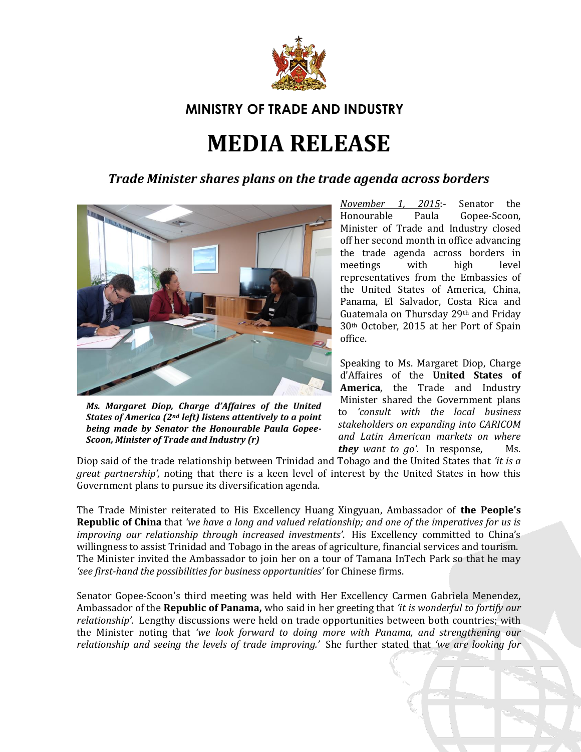

## **MINISTRY OF TRADE AND INDUSTRY**

## **MEDIA RELEASE**

## *Trade Minister shares plans on the trade agenda across borders*



*Ms. Margaret Diop, Charge d'Affaires of the United States of America (2nd left) listens attentively to a point being made by Senator the Honourable Paula Gopee-Scoon, Minister of Trade and Industry (r)*

*November 1, 2015*:- Senator the Honourable Paula Gopee-Scoon, Minister of Trade and Industry closed off her second month in office advancing the trade agenda across borders in meetings with high level representatives from the Embassies of the United States of America, China, Panama, El Salvador, Costa Rica and Guatemala on Thursday 29th and Friday 30th October, 2015 at her Port of Spain office.

Speaking to Ms. Margaret Diop, Charge d'Affaires of the **United States of America**, the Trade and Industry Minister shared the Government plans to *'consult with the local business stakeholders on expanding into CARICOM and Latin American markets on where they want to go'.* In response, Ms.

Diop said of the trade relationship between Trinidad and Tobago and the United States that *'it is a great partnership',* noting that there is a keen level of interest by the United States in how this Government plans to pursue its diversification agenda.

The Trade Minister reiterated to His Excellency Huang Xingyuan, Ambassador of **the People's Republic of China** that *'we have a long and valued relationship; and one of the imperatives for us is improving our relationship through increased investments'*. His Excellency committed to China's willingness to assist Trinidad and Tobago in the areas of agriculture, financial services and tourism. The Minister invited the Ambassador to join her on a tour of Tamana InTech Park so that he may *'see first-hand the possibilities for business opportunities'* for Chinese firms.

Senator Gopee-Scoon's third meeting was held with Her Excellency Carmen Gabriela Menendez, Ambassador of the **Republic of Panama,** who said in her greeting that *'it is wonderful to fortify our relationship'*. Lengthy discussions were held on trade opportunities between both countries; with the Minister noting that *'we look forward to doing more with Panama, and strengthening our relationship and seeing the levels of trade improving.'* She further stated that *'we are looking for*